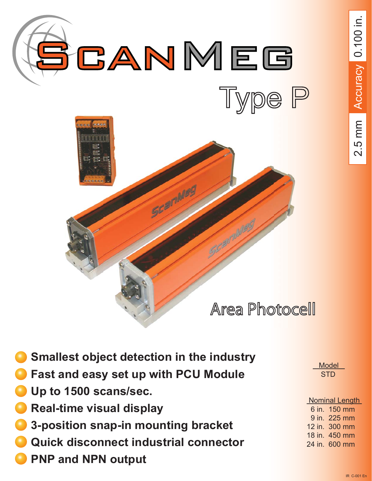



- **Smallest object detection in the industry**
- **Fast and easy set up with PCU Module**
- **Up to 1500 scans/sec.**
- **Real-time visual display**
- **3-position snap-in mounting bracket**
- **Quick disconnect industrial connector**
- **PNP and NPN output**

**Model STD** 

| <b>Nominal Length</b> |  |  |
|-----------------------|--|--|
| 6 in. 150 mm          |  |  |
| 9 in. 225 mm          |  |  |
| 12 in. 300 mm         |  |  |
| 18 in. 450 mm         |  |  |
| 24 in. 600 mm         |  |  |